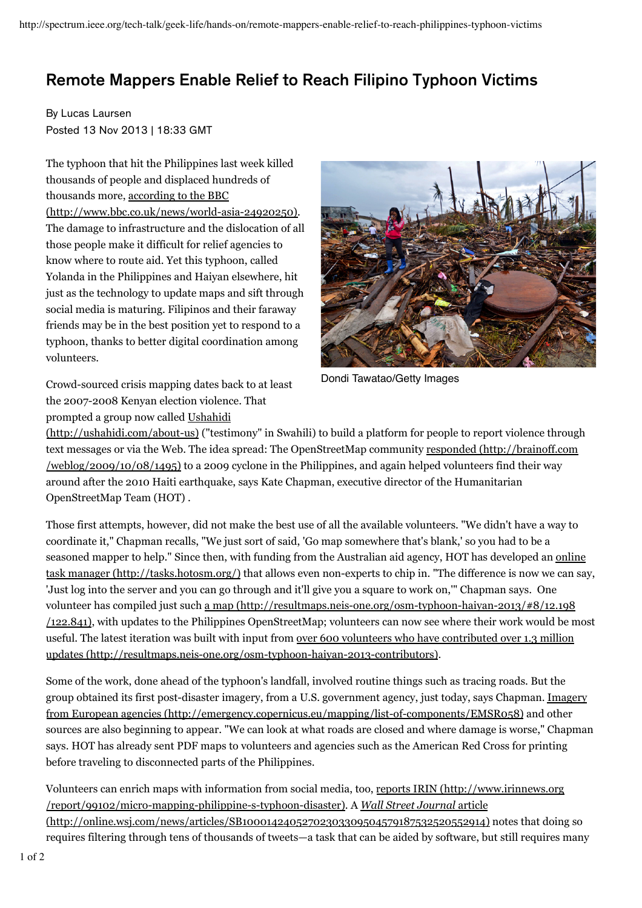## Remote Mappers Enable Relief to Reach Filipino Typhoon Victims

By Lucas Laursen Posted 13 Nov 2013 | 18:33 GMT

The typhoon that hit the Philippines last week killed thousands of people and displaced hundreds of thousands more, <u>according to the BBC</u> . (http://www.bbc.co.uk/news/world-asia-24920250) The damage to infrastructure and the dislocation of all those people make it difficult for relief agencies to know where to route aid. Yet this typhoon, called Yolanda in the Philippines and Haiyan elsewhere, hit just as the technology to update maps and sift through social media is maturing. Filipinos and their faraway friends may be in the best position yet to respond to a typhoon, thanks to better digital coordination among volunteers.



Dondi Tawatao/Getty Images

Crowd-sourced crisis mapping dates back to at least the 2007-2008 Kenyan election violence. That prompted a group now called <u>Ushahidi</u>

(http://ushahidi.com/about-us) ("testimony" in Swahili) to build a platform for people to report violence through text messages or via the Web. The idea spread: The OpenStreetMap community <u>responded (http://brainoff.com</u>  $/weblog/2009/10/08/1495$ ) to a 2009 cyclone in the Philippines, and again helped volunteers find their way around after the 2010 Haiti earthquake, says Kate Chapman, executive director of the Humanitarian OpenStreetMap Team (HOT) .

Those first attempts, however, did not make the best use of all the available volunteers. "We didn't have a way to coordinate it," Chapman recalls, "We just sort of said, 'Go map somewhere that's blank,' so you had to be a seasoned mapper to help." Since then, with funding from the Australian aid agency, HOT has developed an <u>online</u> task manager (http://tasks.hotosm.org/) that allows even non-experts to chip in. "The difference is now we can say, 'Just log into the server and you can go through and it'll give you a square to work on,'" Chapman says. One volunteer has compiled just such a map (http://resultmaps.neis-one.org/osm-typhoon-haiyan-2013/#8/12.198  $(122.841)$ , with updates to the Philippines OpenStreetMap; volunteers can now see where their work would be most useful. The latest iteration was built with input from <u>over 600 volunteers who have contributed over 1.3 million</u> . updates (http://resultmaps.neis-one.org/osm-typhoon-haiyan-2013-contributors)

Some of the work, done ahead of the typhoon's landfall, involved routine things such as tracing roads. But the group obtained its first post-disaster imagery, from a U.S. government agency, just today, says Chapman. <u>Imagery</u> <u>from European agencies (http://emergency.copernicus.eu/mapping/list-of-components/EMSR058)</u> and other sources are also beginning to appear. "We can look at what roads are closed and where damage is worse," Chapman says. HOT has already sent PDF maps to volunteers and agencies such as the American Red Cross for printing before traveling to disconnected parts of the Philippines.

Volunteers can enrich maps with information from social media, too, <u>reports IRIN (http://www.irinnews.org</u> . A /report/99102/micro-mapping-philippine-s-typhoon-disaster) *Wall Street Journal* article (http://online.wsj.com/news/articles/SB10001424052702303309504579187532520552914) notes that doing so requires filtering through tens of thousands of tweets—a task that can be aided by software, but still requires many